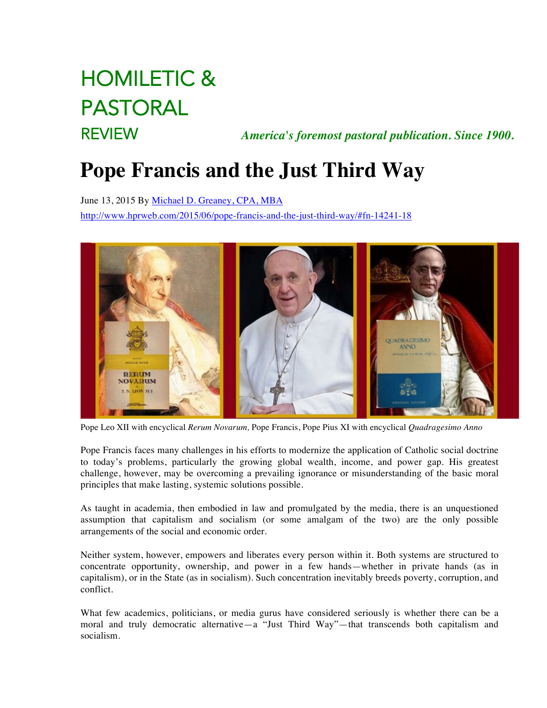# HOMILETIC & PASTORAL

REVIEW *America's foremost pastoral publication. Since 1900.*

# **Pope Francis and the Just Third Way**

June 13, 2015 By Michael D. Greaney, CPA, MBA http://www.hprweb.com/2015/06/pope-francis-and-the-just-third-way/#fn-14241-18



Pope Leo XII with encyclical *Rerum Novarum,* Pope Francis, Pope Pius XI with encyclical *Quadragesimo Anno*

Pope Francis faces many challenges in his efforts to modernize the application of Catholic social doctrine to today's problems, particularly the growing global wealth, income, and power gap. His greatest challenge, however, may be overcoming a prevailing ignorance or misunderstanding of the basic moral principles that make lasting, systemic solutions possible.

As taught in academia, then embodied in law and promulgated by the media, there is an unquestioned assumption that capitalism and socialism (or some amalgam of the two) are the only possible arrangements of the social and economic order.

Neither system, however, empowers and liberates every person within it. Both systems are structured to concentrate opportunity, ownership, and power in a few hands—whether in private hands (as in capitalism), or in the State (as in socialism). Such concentration inevitably breeds poverty, corruption, and conflict.

What few academics, politicians, or media gurus have considered seriously is whether there can be a moral and truly democratic alternative—a "Just Third Way"—that transcends both capitalism and socialism.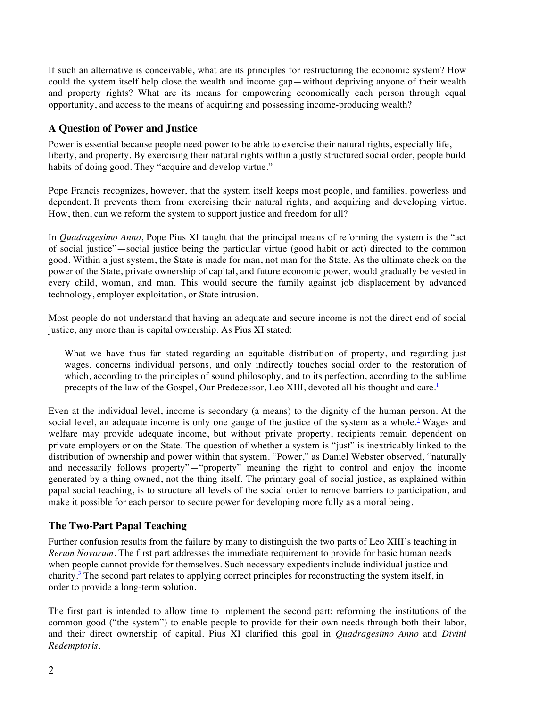If such an alternative is conceivable, what are its principles for restructuring the economic system? How could the system itself help close the wealth and income gap—without depriving anyone of their wealth and property rights? What are its means for empowering economically each person through equal opportunity, and access to the means of acquiring and possessing income-producing wealth?

# **A Question of Power and Justice**

Power is essential because people need power to be able to exercise their natural rights, especially life, liberty, and property. By exercising their natural rights within a justly structured social order, people build habits of doing good. They "acquire and develop virtue."

Pope Francis recognizes, however, that the system itself keeps most people, and families, powerless and dependent. It prevents them from exercising their natural rights, and acquiring and developing virtue. How, then, can we reform the system to support justice and freedom for all?

In *Quadragesimo Anno*, Pope Pius XI taught that the principal means of reforming the system is the "act of social justice"—social justice being the particular virtue (good habit or act) directed to the common good. Within a just system, the State is made for man, not man for the State. As the ultimate check on the power of the State, private ownership of capital, and future economic power, would gradually be vested in every child, woman, and man. This would secure the family against job displacement by advanced technology, employer exploitation, or State intrusion.

Most people do not understand that having an adequate and secure income is not the direct end of social justice, any more than is capital ownership. As Pius XI stated:

What we have thus far stated regarding an equitable distribution of property, and regarding just wages, concerns individual persons, and only indirectly touches social order to the restoration of which, according to the principles of sound philosophy, and to its perfection, according to the sublime precepts of the law of the Gospel, Our Predecessor, Leo XIII, devoted all his thought and care.<sup>1</sup>

Even at the individual level, income is secondary (a means) to the dignity of the human person. At the social level, an adequate income is only one gauge of the justice of the system as a whole.<sup>2</sup> Wages and welfare may provide adequate income, but without private property, recipients remain dependent on private employers or on the State. The question of whether a system is "just" is inextricably linked to the distribution of ownership and power within that system. "Power," as Daniel Webster observed, "naturally and necessarily follows property"—"property" meaning the right to control and enjoy the income generated by a thing owned, not the thing itself. The primary goal of social justice, as explained within papal social teaching, is to structure all levels of the social order to remove barriers to participation, and make it possible for each person to secure power for developing more fully as a moral being.

# **The Two-Part Papal Teaching**

Further confusion results from the failure by many to distinguish the two parts of Leo XIII's teaching in *Rerum Novarum*. The first part addresses the immediate requirement to provide for basic human needs when people cannot provide for themselves. Such necessary expedients include individual justice and charity.<sup>3</sup> The second part relates to applying correct principles for reconstructing the system itself, in order to provide a long-term solution.

The first part is intended to allow time to implement the second part: reforming the institutions of the common good ("the system") to enable people to provide for their own needs through both their labor, and their direct ownership of capital. Pius XI clarified this goal in *Quadragesimo Anno* and *Divini Redemptoris*.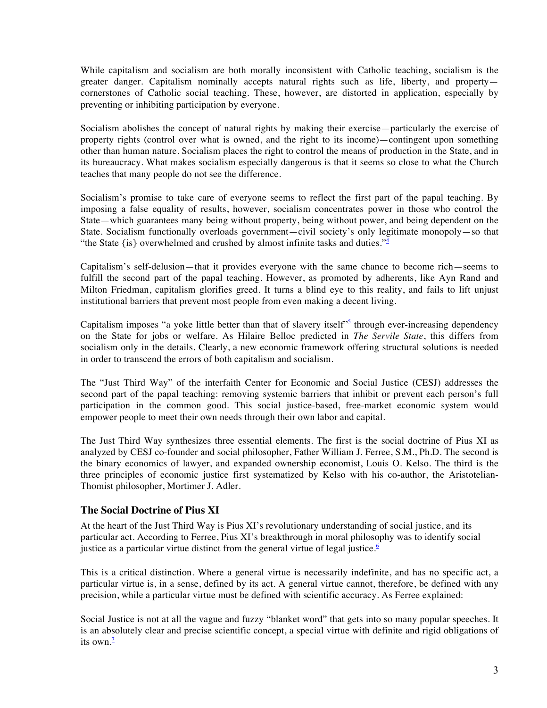While capitalism and socialism are both morally inconsistent with Catholic teaching, socialism is the greater danger. Capitalism nominally accepts natural rights such as life, liberty, and property cornerstones of Catholic social teaching. These, however, are distorted in application, especially by preventing or inhibiting participation by everyone.

Socialism abolishes the concept of natural rights by making their exercise—particularly the exercise of property rights (control over what is owned, and the right to its income)—contingent upon something other than human nature. Socialism places the right to control the means of production in the State, and in its bureaucracy. What makes socialism especially dangerous is that it seems so close to what the Church teaches that many people do not see the difference.

Socialism's promise to take care of everyone seems to reflect the first part of the papal teaching. By imposing a false equality of results, however, socialism concentrates power in those who control the State—which guarantees many being without property, being without power, and being dependent on the State. Socialism functionally overloads government—civil society's only legitimate monopoly—so that "the State  $\{is\}$  overwhelmed and crushed by almost infinite tasks and duties." $\frac{4}{3}$ 

Capitalism's self-delusion—that it provides everyone with the same chance to become rich—seems to fulfill the second part of the papal teaching. However, as promoted by adherents, like Ayn Rand and Milton Friedman, capitalism glorifies greed. It turns a blind eye to this reality, and fails to lift unjust institutional barriers that prevent most people from even making a decent living.

Capitalism imposes "a yoke little better than that of slavery itself"<sup>5</sup> through ever-increasing dependency on the State for jobs or welfare. As Hilaire Belloc predicted in *The Servile State*, this differs from socialism only in the details. Clearly, a new economic framework offering structural solutions is needed in order to transcend the errors of both capitalism and socialism.

The "Just Third Way" of the interfaith Center for Economic and Social Justice (CESJ) addresses the second part of the papal teaching: removing systemic barriers that inhibit or prevent each person's full participation in the common good. This social justice-based, free-market economic system would empower people to meet their own needs through their own labor and capital.

The Just Third Way synthesizes three essential elements. The first is the social doctrine of Pius XI as analyzed by CESJ co-founder and social philosopher, Father William J. Ferree, S.M., Ph.D. The second is the binary economics of lawyer, and expanded ownership economist, Louis O. Kelso. The third is the three principles of economic justice first systematized by Kelso with his co-author, the Aristotelian-Thomist philosopher, Mortimer J. Adler.

#### **The Social Doctrine of Pius XI**

At the heart of the Just Third Way is Pius XI's revolutionary understanding of social justice, and its particular act. According to Ferree, Pius XI's breakthrough in moral philosophy was to identify social justice as a particular virtue distinct from the general virtue of legal justice.<sup> $6$ </sup>

This is a critical distinction. Where a general virtue is necessarily indefinite, and has no specific act, a particular virtue is, in a sense, defined by its act. A general virtue cannot, therefore, be defined with any precision, while a particular virtue must be defined with scientific accuracy. As Ferree explained:

Social Justice is not at all the vague and fuzzy "blanket word" that gets into so many popular speeches. It is an absolutely clear and precise scientific concept, a special virtue with definite and rigid obligations of its own. $\frac{7}{2}$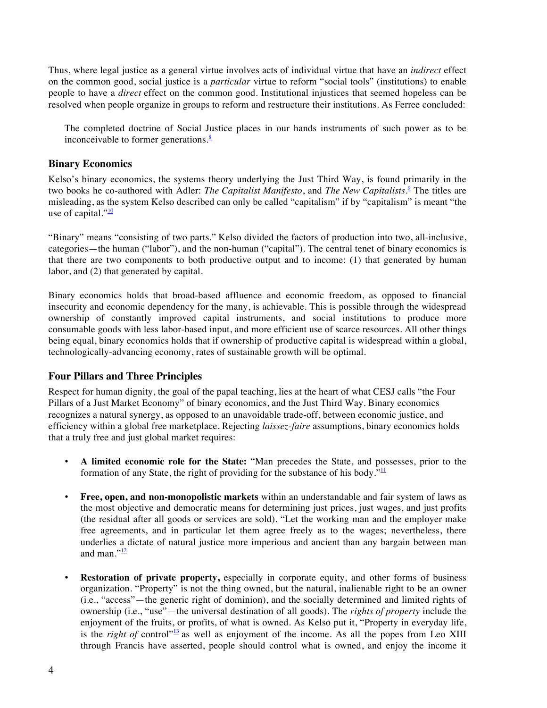Thus, where legal justice as a general virtue involves acts of individual virtue that have an *indirect* effect on the common good, social justice is a *particular* virtue to reform "social tools" (institutions) to enable people to have a *direct* effect on the common good. Institutional injustices that seemed hopeless can be resolved when people organize in groups to reform and restructure their institutions. As Ferree concluded:

The completed doctrine of Social Justice places in our hands instruments of such power as to be inconceivable to former generations. $\frac{8}{3}$ 

#### **Binary Economics**

Kelso's binary economics, the systems theory underlying the Just Third Way, is found primarily in the two books he co-authored with Adler: *The Capitalist Manifesto*, and *The New Capitalists*. <sup>9</sup> The titles are misleading, as the system Kelso described can only be called "capitalism" if by "capitalism" is meant "the use of capital." $\frac{10}{10}$ 

"Binary" means "consisting of two parts." Kelso divided the factors of production into two, all-inclusive, categories—the human ("labor"), and the non-human ("capital"). The central tenet of binary economics is that there are two components to both productive output and to income: (1) that generated by human labor, and (2) that generated by capital.

Binary economics holds that broad-based affluence and economic freedom, as opposed to financial insecurity and economic dependency for the many, is achievable. This is possible through the widespread ownership of constantly improved capital instruments, and social institutions to produce more consumable goods with less labor-based input, and more efficient use of scarce resources. All other things being equal, binary economics holds that if ownership of productive capital is widespread within a global, technologically-advancing economy, rates of sustainable growth will be optimal.

#### **Four Pillars and Three Principles**

Respect for human dignity, the goal of the papal teaching, lies at the heart of what CESJ calls "the Four Pillars of a Just Market Economy" of binary economics, and the Just Third Way. Binary economics recognizes a natural synergy, as opposed to an unavoidable trade-off, between economic justice, and efficiency within a global free marketplace. Rejecting *laissez-faire* assumptions, binary economics holds that a truly free and just global market requires:

- **A limited economic role for the State:** "Man precedes the State, and possesses, prior to the formation of any State, the right of providing for the substance of his body." $\frac{11}{11}$
- **Free, open, and non-monopolistic markets** within an understandable and fair system of laws as the most objective and democratic means for determining just prices, just wages, and just profits (the residual after all goods or services are sold). "Let the working man and the employer make free agreements, and in particular let them agree freely as to the wages; nevertheless, there underlies a dictate of natural justice more imperious and ancient than any bargain between man and man." $\frac{12}{2}$
- **Restoration of private property,** especially in corporate equity, and other forms of business organization. "Property" is not the thing owned, but the natural, inalienable right to be an owner (i.e., "access"—the generic right of dominion), and the socially determined and limited rights of ownership (i.e., "use"—the universal destination of all goods). The *rights of property* include the enjoyment of the fruits, or profits, of what is owned. As Kelso put it, "Property in everyday life, is the *right of* control"<sup>13</sup> as well as enjoyment of the income. As all the popes from Leo XIII through Francis have asserted, people should control what is owned, and enjoy the income it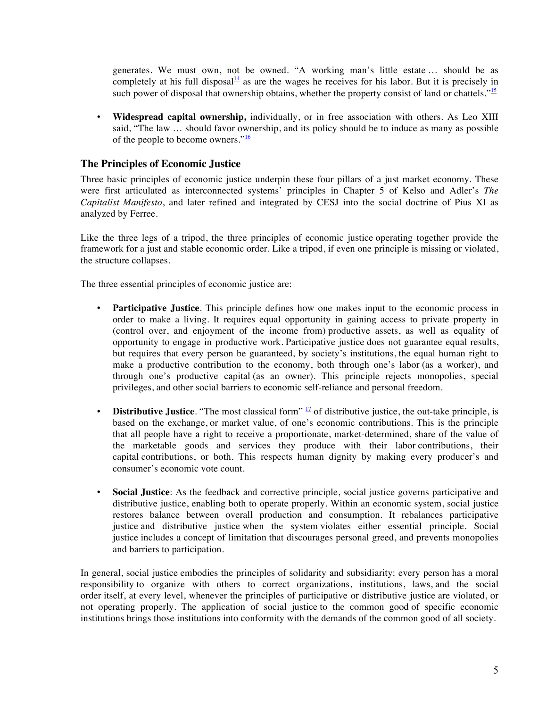generates. We must own, not be owned. "A working man's little estate … should be as completely at his full disposal<sup>14</sup> as are the wages he receives for his labor. But it is precisely in such power of disposal that ownership obtains, whether the property consist of land or chattels." $\frac{15}{15}$ 

• **Widespread capital ownership,** individually, or in free association with others. As Leo XIII said, "The law … should favor ownership, and its policy should be to induce as many as possible of the people to become owners." $\frac{16}{16}$ 

### **The Principles of Economic Justice**

Three basic principles of economic justice underpin these four pillars of a just market economy. These were first articulated as interconnected systems' principles in Chapter 5 of Kelso and Adler's *The Capitalist Manifesto*, and later refined and integrated by CESJ into the social doctrine of Pius XI as analyzed by Ferree.

Like the three legs of a tripod, the three principles of economic justice operating together provide the framework for a just and stable economic order. Like a tripod, if even one principle is missing or violated, the structure collapses.

The three essential principles of economic justice are:

- **Participative Justice**. This principle defines how one makes input to the economic process in order to make a living. It requires equal opportunity in gaining access to private property in (control over, and enjoyment of the income from) productive assets, as well as equality of opportunity to engage in productive work. Participative justice does not guarantee equal results, but requires that every person be guaranteed, by society's institutions, the equal human right to make a productive contribution to the economy, both through one's labor (as a worker), and through one's productive capital (as an owner). This principle rejects monopolies, special privileges, and other social barriers to economic self-reliance and personal freedom.
- **Distributive Justice**. "The most classical form" <sup>17</sup> of distributive justice, the out-take principle, is based on the exchange, or market value, of one's economic contributions. This is the principle that all people have a right to receive a proportionate, market-determined, share of the value of the marketable goods and services they produce with their labor contributions, their capital contributions, or both. This respects human dignity by making every producer's and consumer's economic vote count.
- **Social Justice**: As the feedback and corrective principle, social justice governs participative and distributive justice, enabling both to operate properly. Within an economic system, social justice restores balance between overall production and consumption. It rebalances participative justice and distributive justice when the system violates either essential principle. Social justice includes a concept of limitation that discourages personal greed, and prevents monopolies and barriers to participation.

In general, social justice embodies the principles of solidarity and subsidiarity: every person has a moral responsibility to organize with others to correct organizations, institutions, laws, and the social order itself, at every level, whenever the principles of participative or distributive justice are violated, or not operating properly. The application of social justice to the common good of specific economic institutions brings those institutions into conformity with the demands of the common good of all society.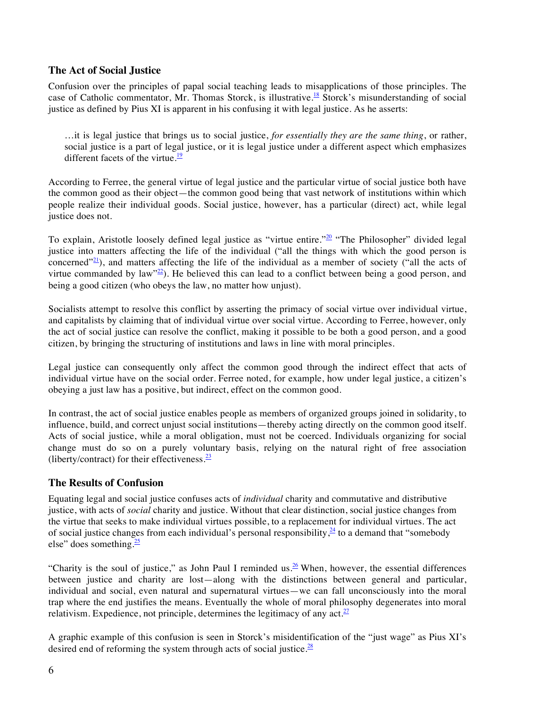## **The Act of Social Justice**

Confusion over the principles of papal social teaching leads to misapplications of those principles. The case of Catholic commentator, Mr. Thomas Storck, is illustrative.<sup>18</sup> Storck's misunderstanding of social justice as defined by Pius XI is apparent in his confusing it with legal justice. As he asserts:

…it is legal justice that brings us to social justice, *for essentially they are the same thing*, or rather, social justice is a part of legal justice, or it is legal justice under a different aspect which emphasizes different facets of the virtue. $\frac{19}{12}$ 

According to Ferree, the general virtue of legal justice and the particular virtue of social justice both have the common good as their object—the common good being that vast network of institutions within which people realize their individual goods. Social justice, however, has a particular (direct) act, while legal justice does not.

To explain, Aristotle loosely defined legal justice as "virtue entire."<sup>20</sup> "The Philosopher" divided legal justice into matters affecting the life of the individual ("all the things with which the good person is concerned"<sup>21</sup>), and matters affecting the life of the individual as a member of society ("all the acts of virtue commanded by law" $22$ ). He believed this can lead to a conflict between being a good person, and being a good citizen (who obeys the law, no matter how unjust).

Socialists attempt to resolve this conflict by asserting the primacy of social virtue over individual virtue, and capitalists by claiming that of individual virtue over social virtue. According to Ferree, however, only the act of social justice can resolve the conflict, making it possible to be both a good person, and a good citizen, by bringing the structuring of institutions and laws in line with moral principles.

Legal justice can consequently only affect the common good through the indirect effect that acts of individual virtue have on the social order. Ferree noted, for example, how under legal justice, a citizen's obeying a just law has a positive, but indirect, effect on the common good.

In contrast, the act of social justice enables people as members of organized groups joined in solidarity, to influence, build, and correct unjust social institutions—thereby acting directly on the common good itself. Acts of social justice, while a moral obligation, must not be coerced. Individuals organizing for social change must do so on a purely voluntary basis, relying on the natural right of free association (liberty/contract) for their effectiveness. $\frac{23}{2}$ 

# **The Results of Confusion**

Equating legal and social justice confuses acts of *individual* charity and commutative and distributive justice, with acts of *social* charity and justice. Without that clear distinction, social justice changes from the virtue that seeks to make individual virtues possible, to a replacement for individual virtues. The act of social justice changes from each individual's personal responsibility,  $\frac{24}{3}$  to a demand that "somebody else" does something. $\frac{25}{2}$ 

"Charity is the soul of justice," as John Paul I reminded us.<sup>26</sup> When, however, the essential differences between justice and charity are lost—along with the distinctions between general and particular, individual and social, even natural and supernatural virtues—we can fall unconsciously into the moral trap where the end justifies the means. Eventually the whole of moral philosophy degenerates into moral relativism. Expedience, not principle, determines the legitimacy of any act.  $27$ 

A graphic example of this confusion is seen in Storck's misidentification of the "just wage" as Pius XI's desired end of reforming the system through acts of social justice. $\frac{28}{2}$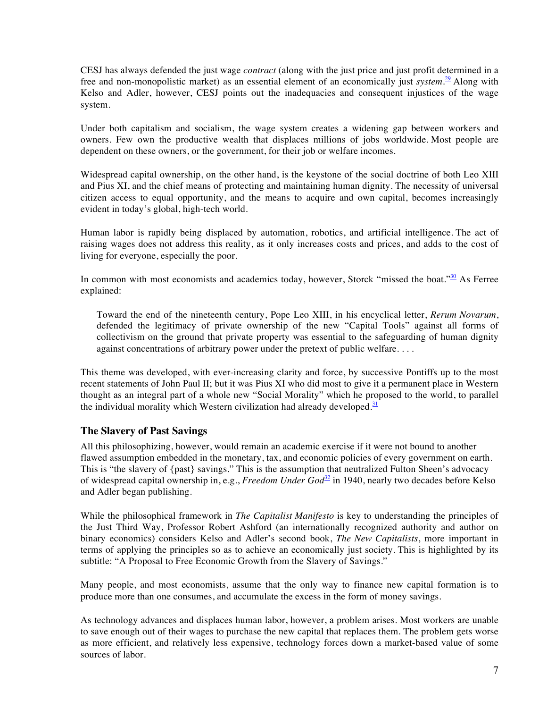CESJ has always defended the just wage *contract* (along with the just price and just profit determined in a free and non-monopolistic market) as an essential element of an economically just *system*. <sup>29</sup> Along with Kelso and Adler, however, CESJ points out the inadequacies and consequent injustices of the wage system.

Under both capitalism and socialism, the wage system creates a widening gap between workers and owners. Few own the productive wealth that displaces millions of jobs worldwide. Most people are dependent on these owners, or the government, for their job or welfare incomes.

Widespread capital ownership, on the other hand, is the keystone of the social doctrine of both Leo XIII and Pius XI, and the chief means of protecting and maintaining human dignity. The necessity of universal citizen access to equal opportunity, and the means to acquire and own capital, becomes increasingly evident in today's global, high-tech world.

Human labor is rapidly being displaced by automation, robotics, and artificial intelligence. The act of raising wages does not address this reality, as it only increases costs and prices, and adds to the cost of living for everyone, especially the poor.

In common with most economists and academics today, however, Storck "missed the boat."<sup>30</sup> As Ferree explained:

Toward the end of the nineteenth century, Pope Leo XIII, in his encyclical letter, *Rerum Novarum*, defended the legitimacy of private ownership of the new "Capital Tools" against all forms of collectivism on the ground that private property was essential to the safeguarding of human dignity against concentrations of arbitrary power under the pretext of public welfare. . . .

This theme was developed, with ever-increasing clarity and force, by successive Pontiffs up to the most recent statements of John Paul II; but it was Pius XI who did most to give it a permanent place in Western thought as an integral part of a whole new "Social Morality" which he proposed to the world, to parallel the individual morality which Western civilization had already developed. $\frac{31}{2}$ 

#### **The Slavery of Past Savings**

All this philosophizing, however, would remain an academic exercise if it were not bound to another flawed assumption embedded in the monetary, tax, and economic policies of every government on earth. This is "the slavery of {past} savings." This is the assumption that neutralized Fulton Sheen's advocacy of widespread capital ownership in, e.g., *Freedom Under God*<sup>32</sup> in 1940, nearly two decades before Kelso and Adler began publishing.

While the philosophical framework in *The Capitalist Manifesto* is key to understanding the principles of the Just Third Way, Professor Robert Ashford (an internationally recognized authority and author on binary economics) considers Kelso and Adler's second book, *The New Capitalists*, more important in terms of applying the principles so as to achieve an economically just society. This is highlighted by its subtitle: "A Proposal to Free Economic Growth from the Slavery of Savings."

Many people, and most economists, assume that the only way to finance new capital formation is to produce more than one consumes, and accumulate the excess in the form of money savings.

As technology advances and displaces human labor, however, a problem arises. Most workers are unable to save enough out of their wages to purchase the new capital that replaces them. The problem gets worse as more efficient, and relatively less expensive, technology forces down a market-based value of some sources of labor.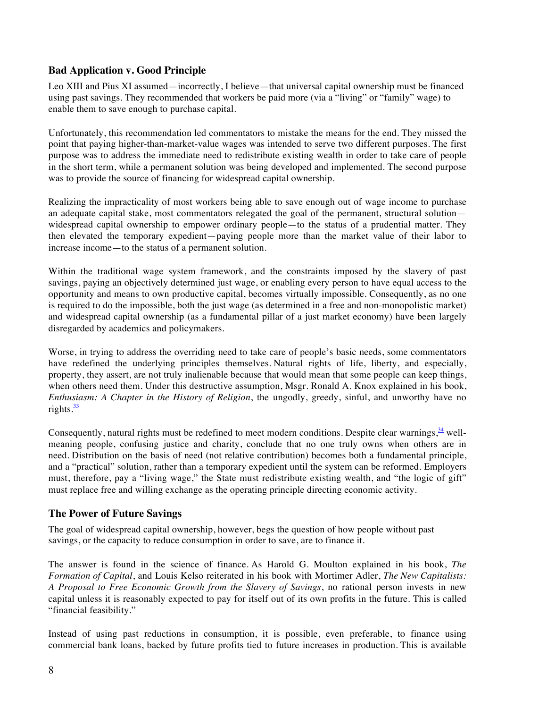# **Bad Application v. Good Principle**

Leo XIII and Pius XI assumed—incorrectly, I believe—that universal capital ownership must be financed using past savings. They recommended that workers be paid more (via a "living" or "family" wage) to enable them to save enough to purchase capital.

Unfortunately, this recommendation led commentators to mistake the means for the end. They missed the point that paying higher-than-market-value wages was intended to serve two different purposes. The first purpose was to address the immediate need to redistribute existing wealth in order to take care of people in the short term, while a permanent solution was being developed and implemented. The second purpose was to provide the source of financing for widespread capital ownership.

Realizing the impracticality of most workers being able to save enough out of wage income to purchase an adequate capital stake, most commentators relegated the goal of the permanent, structural solution widespread capital ownership to empower ordinary people—to the status of a prudential matter. They then elevated the temporary expedient—paying people more than the market value of their labor to increase income—to the status of a permanent solution.

Within the traditional wage system framework, and the constraints imposed by the slavery of past savings, paying an objectively determined just wage, or enabling every person to have equal access to the opportunity and means to own productive capital, becomes virtually impossible. Consequently, as no one is required to do the impossible, both the just wage (as determined in a free and non-monopolistic market) and widespread capital ownership (as a fundamental pillar of a just market economy) have been largely disregarded by academics and policymakers.

Worse, in trying to address the overriding need to take care of people's basic needs, some commentators have redefined the underlying principles themselves. Natural rights of life, liberty, and especially, property, they assert, are not truly inalienable because that would mean that some people can keep things, when others need them. Under this destructive assumption, Msgr. Ronald A. Knox explained in his book, *Enthusiasm: A Chapter in the History of Religion*, the ungodly, greedy, sinful, and unworthy have no rights. $\frac{33}{2}$ 

Consequently, natural rights must be redefined to meet modern conditions. Despite clear warnings,  $\frac{34}{2}$  wellmeaning people, confusing justice and charity, conclude that no one truly owns when others are in need. Distribution on the basis of need (not relative contribution) becomes both a fundamental principle, and a "practical" solution, rather than a temporary expedient until the system can be reformed. Employers must, therefore, pay a "living wage," the State must redistribute existing wealth, and "the logic of gift" must replace free and willing exchange as the operating principle directing economic activity.

#### **The Power of Future Savings**

The goal of widespread capital ownership, however, begs the question of how people without past savings, or the capacity to reduce consumption in order to save, are to finance it.

The answer is found in the science of finance. As Harold G. Moulton explained in his book, *The Formation of Capital*, and Louis Kelso reiterated in his book with Mortimer Adler, *The New Capitalists: A Proposal to Free Economic Growth from the Slavery of Savings*, no rational person invests in new capital unless it is reasonably expected to pay for itself out of its own profits in the future. This is called "financial feasibility."

Instead of using past reductions in consumption, it is possible, even preferable, to finance using commercial bank loans, backed by future profits tied to future increases in production. This is available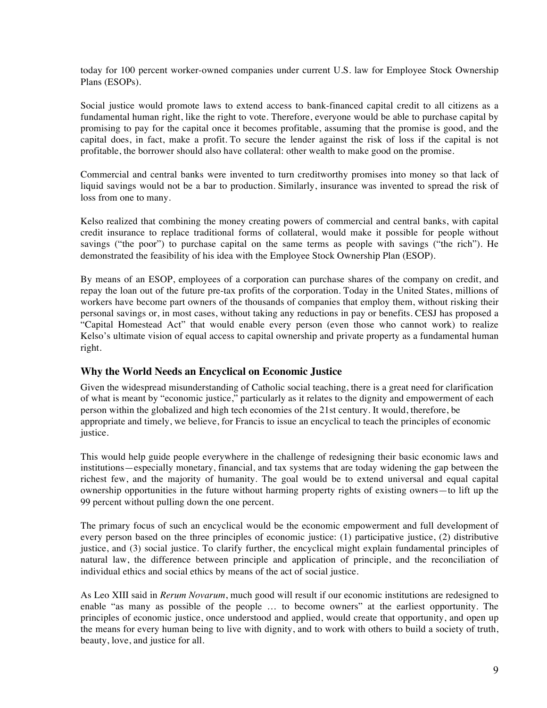today for 100 percent worker-owned companies under current U.S. law for Employee Stock Ownership Plans (ESOPs).

Social justice would promote laws to extend access to bank-financed capital credit to all citizens as a fundamental human right, like the right to vote. Therefore, everyone would be able to purchase capital by promising to pay for the capital once it becomes profitable, assuming that the promise is good, and the capital does, in fact, make a profit. To secure the lender against the risk of loss if the capital is not profitable, the borrower should also have collateral: other wealth to make good on the promise.

Commercial and central banks were invented to turn creditworthy promises into money so that lack of liquid savings would not be a bar to production. Similarly, insurance was invented to spread the risk of loss from one to many.

Kelso realized that combining the money creating powers of commercial and central banks, with capital credit insurance to replace traditional forms of collateral, would make it possible for people without savings ("the poor") to purchase capital on the same terms as people with savings ("the rich"). He demonstrated the feasibility of his idea with the Employee Stock Ownership Plan (ESOP).

By means of an ESOP, employees of a corporation can purchase shares of the company on credit, and repay the loan out of the future pre-tax profits of the corporation. Today in the United States, millions of workers have become part owners of the thousands of companies that employ them, without risking their personal savings or, in most cases, without taking any reductions in pay or benefits. CESJ has proposed a "Capital Homestead Act" that would enable every person (even those who cannot work) to realize Kelso's ultimate vision of equal access to capital ownership and private property as a fundamental human right.

#### **Why the World Needs an Encyclical on Economic Justice**

Given the widespread misunderstanding of Catholic social teaching, there is a great need for clarification of what is meant by "economic justice," particularly as it relates to the dignity and empowerment of each person within the globalized and high tech economies of the 21st century. It would, therefore, be appropriate and timely, we believe, for Francis to issue an encyclical to teach the principles of economic justice.

This would help guide people everywhere in the challenge of redesigning their basic economic laws and institutions—especially monetary, financial, and tax systems that are today widening the gap between the richest few, and the majority of humanity. The goal would be to extend universal and equal capital ownership opportunities in the future without harming property rights of existing owners—to lift up the 99 percent without pulling down the one percent.

The primary focus of such an encyclical would be the economic empowerment and full development of every person based on the three principles of economic justice: (1) participative justice, (2) distributive justice, and (3) social justice. To clarify further, the encyclical might explain fundamental principles of natural law, the difference between principle and application of principle, and the reconciliation of individual ethics and social ethics by means of the act of social justice.

As Leo XIII said in *Rerum Novarum*, much good will result if our economic institutions are redesigned to enable "as many as possible of the people … to become owners" at the earliest opportunity. The principles of economic justice, once understood and applied, would create that opportunity, and open up the means for every human being to live with dignity, and to work with others to build a society of truth, beauty, love, and justice for all.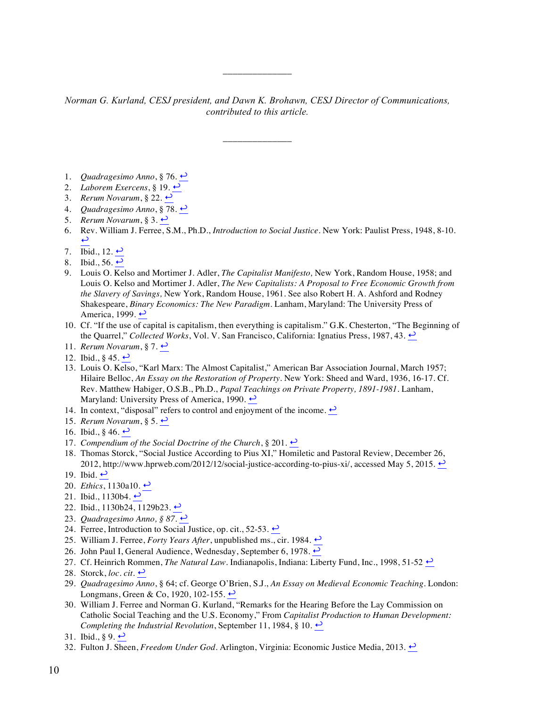#### *Norman G. Kurland, CESJ president, and Dawn K. Brohawn, CESJ Director of Communications, contributed to this article.*

\_\_\_\_\_\_\_\_\_\_\_\_\_\_

\_\_\_\_\_\_\_\_\_\_\_\_\_\_

- 1. *Quadragesimo Anno*, § 76. ↩
- 2. *Laborem Exercens*, § 19.  $\rightarrow$
- 3. *Rerum Novarum*, § 22.  $\rightarrow$
- 4. *Quadragesimo Anno*, § 78. ↩
- 5. *Rerum Novarum*, § 3.  $\leftrightarrow$
- 6. Rev. William J. Ferree, S.M., Ph.D., *Introduction to Social Justice*. New York: Paulist Press, 1948, 8-10.  $\mathbf{\overline{u}}$
- 7. Ibid., 12.  $\leftrightarrow$
- 8. Ibid., 56.  $\leftrightarrow$
- 9. Louis O. Kelso and Mortimer J. Adler, *The Capitalist Manifesto,* New York, Random House, 1958; and Louis O. Kelso and Mortimer J. Adler, *The New Capitalists: A Proposal to Free Economic Growth from the Slavery of Savings,* New York, Random House, 1961. See also Robert H. A. Ashford and Rodney Shakespeare, *Binary Economics: The New Paradigm.* Lanham, Maryland: The University Press of America, 1999.  $\rightarrow$
- 10. Cf. "If the use of capital is capitalism, then everything is capitalism." G.K. Chesterton, "The Beginning of the Quarrel," *Collected Works*, Vol. V. San Francisco, California: Ignatius Press, 1987, 43. ↩
- 11. *Rerum Novarum*, § 7. ↩
- 12. Ibid., § 45.  $\leftrightarrow$
- 13. Louis O. Kelso, "Karl Marx: The Almost Capitalist," American Bar Association Journal, March 1957; Hilaire Belloc, *An Essay on the Restoration of Property*. New York: Sheed and Ward, 1936, 16-17. Cf. Rev. Matthew Habiger, O.S.B., Ph.D., *Papal Teachings on Private Property, 1891-1981*. Lanham, Maryland: University Press of America, 1990.  $\leftrightarrow$
- 14. In context, "disposal" refers to control and enjoyment of the income.  $\leftrightarrow$
- 15. *Rerum Novarum*, § 5. ↩
- 16. Ibid.,  $\S$  46.  $\leftrightarrow$
- 17. *Compendium of the Social Doctrine of the Church*, § 201.  $\rightarrow$
- 18. Thomas Storck, "Social Justice According to Pius XI," Homiletic and Pastoral Review, December 26, 2012, http://www.hprweb.com/2012/12/social-justice-according-to-pius-xi/, accessed May 5, 2015.  $\rightarrow$
- 19. Ibid.  $\rightarrow$
- 20. *Ethics*, 1130a10. ↩
- 21. Ibid., 1130b4.  $\leftrightarrow$
- 22. Ibid., 1130b24, 1129b23. ↔
- 23. *Quadragesimo Anno, § 87.* ↩
- 24. Ferree, Introduction to Social Justice, op. cit., 52-53.  $\leftrightarrow$
- 25. William J. Ferree, *Forty Years After*, unpublished ms., cir. 1984. ←
- 26. John Paul I, General Audience, Wednesday, September 6, 1978.  $\rightarrow$
- 27. Cf. Heinrich Rommen, *The Natural Law*. Indianapolis, Indiana: Liberty Fund, Inc., 1998, 51-52  $\rightarrow$
- 28. Storck,  $loc. cit. \rightarrow$
- 29. *Quadragesimo Anno*, § 64; cf. George O'Brien, S.J., *An Essay on Medieval Economic Teaching.* London: Longmans, Green & Co, 1920, 102-155.  $\rightarrow$
- 30. William J. Ferree and Norman G. Kurland, "Remarks for the Hearing Before the Lay Commission on Catholic Social Teaching and the U.S. Economy," From *Capitalist Production to Human Development: Completing the Industrial Revolution*, September 11, 1984, § 10.  $\rightarrow$
- 31. Ibid.,  $\S 9. \rightarrow$
- 32. Fulton J. Sheen, *Freedom Under God*. Arlington, Virginia: Economic Justice Media, 2013. <u>•</u>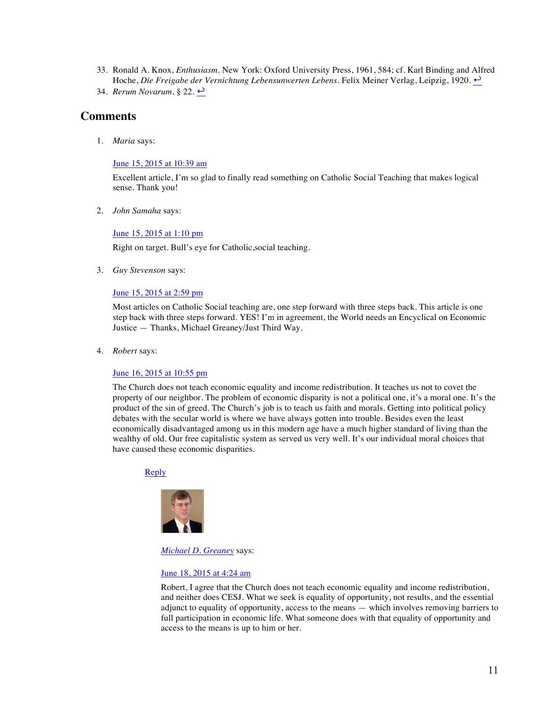- 33. Ronald A. Knox, *Enthusiasm*. New York: Oxford University Press, 1961, 584; cf. Karl Binding and Alfred Hoche, *Die Freigabe der Vernichtung Lebensunwerten Lebens.* Felix Meiner Verlag, Leipzig, 1920. ↩
- 34. *Rerum Novarum*, § 22. ↩

# **Comments**

1. *Maria* says:

June 15, 2015 at 10:39 am

Excellent article, I'm so glad to finally read something on Catholic Social Teaching that makes logical sense. Thank you!

2. *John Samaha* says:

#### June 15, 2015 at 1:10 pm

Right on target. Bull's eye for Catholic,social teaching.

3. *Guy Stevenson* says:

#### June 15, 2015 at 2:59 pm

Most articles on Catholic Social teaching are, one step forward with three steps back. This article is one step back with three steps forward. YES! I'm in agreement, the World needs an Encyclical on Economic Justice — Thanks, Michael Greaney/Just Third Way.

4. *Robert* says:

#### June 16, 2015 at 10:55 pm

The Church does not teach economic equality and income redistribution. It teaches us not to covet the property of our neighbor. The problem of economic disparity is not a political one, it's a moral one. It's the product of the sin of greed. The Church's job is to teach us faith and morals. Getting into political policy debates with the secular world is where we have always gotten into trouble. Besides even the least economically disadvantaged among us in this modern age have a much higher standard of living than the wealthy of old. Our free capitalistic system as served us very well. It's our individual moral choices that have caused these economic disparities.

#### Reply



*Michael D. Greaney* says:

#### June 18, 2015 at 4:24 am

Robert, I agree that the Church does not teach economic equality and income redistribution, and neither does CESJ. What we seek is equality of opportunity, not results, and the essential adjunct to equality of opportunity, access to the means — which involves removing barriers to full participation in economic life. What someone does with that equality of opportunity and access to the means is up to him or her.